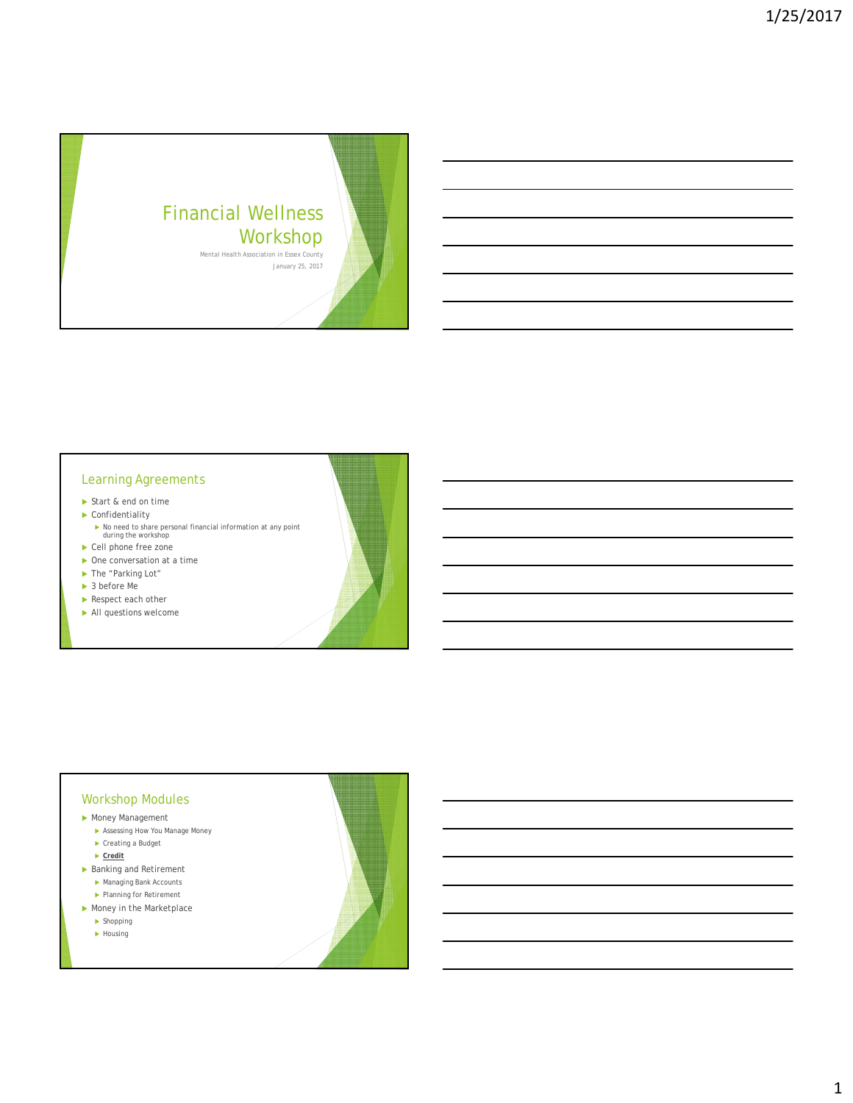

## Learning Agreements

- Start & end on time
- ▶ Confidentiality
	- No need to share personal financial information at any point during the workshop
- ▶ Cell phone free zone
- ▶ One conversation at a time
- ▶ The "Parking Lot"
- ▶ 3 before Me
- Respect each other
- All questions welcome

## Workshop Modules

- Money Management
	- Assessing How You Manage Money  $\blacktriangleright$  Creating a Budget
	- **Credit**
- ▶ Banking and Retirement
	- Managing Bank Accounts
	- ▶ Planning for Retirement
- Money in the Marketplace
	- $\blacktriangleright$  Shopping
	- $\blacktriangleright$  Housing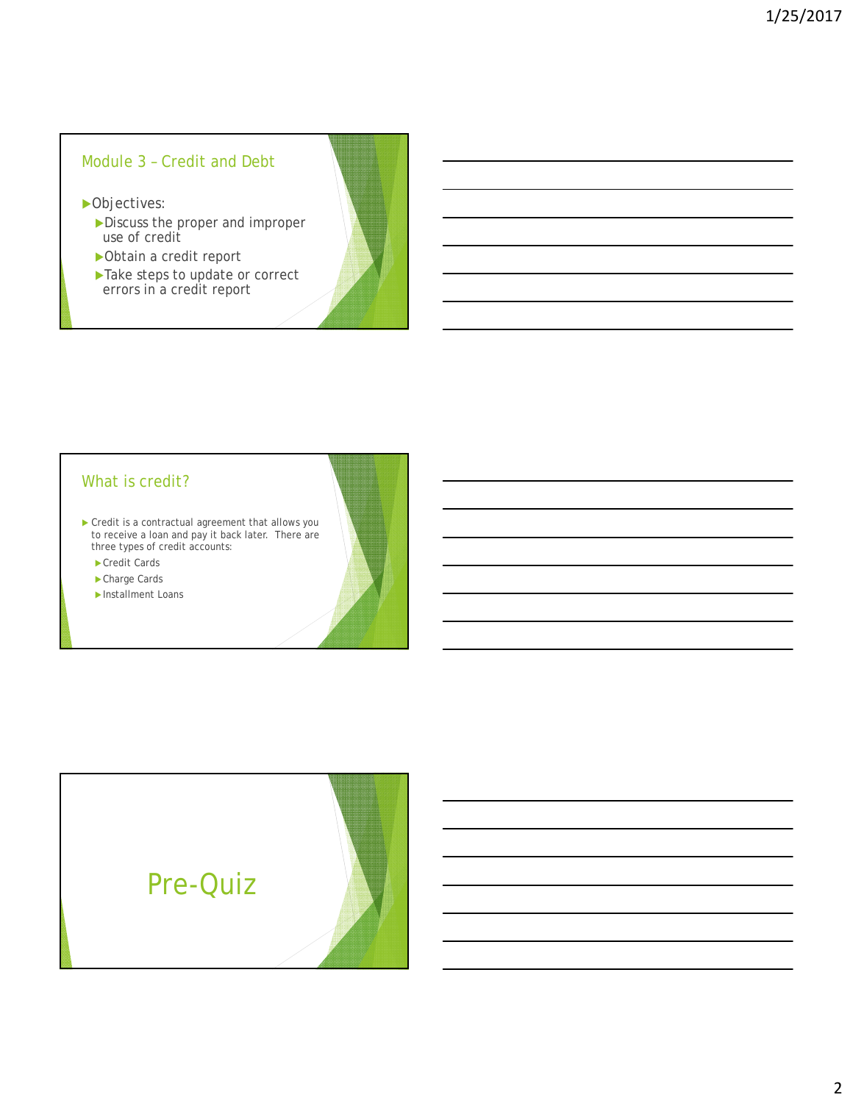# Module 3 – Credit and Debt

▶ Objectives:

- Discuss the proper and improper use of credit
- Obtain a credit report
- Take steps to update or correct errors in a credit report

## What is credit?

**Credit is a contractual agreement that allows you** to receive a loan and pay it back later. There are three types of credit accounts:

▶ Credit Cards

▶ Charge Cards

Installment Loans

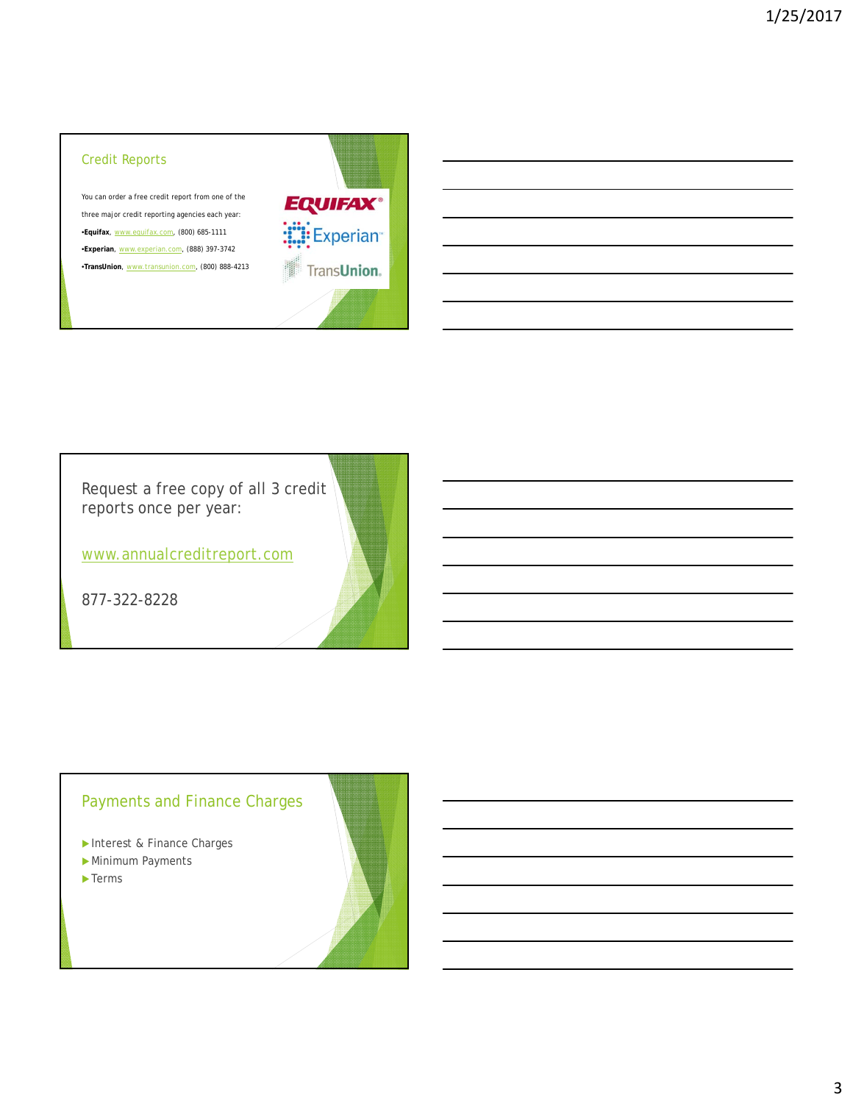## Credit Reports

You can order a free credit report from one of the three major credit reporting agencies each year: •**Equifax**, www.equifax.com, (800) 685-1111 •**Experian**, www.experian.com, (888) 397-3742 •**TransUnion**, www.transunion.com, (800) 888-4213



Request a free copy of all 3 credit reports once per year:

www.annualcreditreport.com

877-322-8228

# Payments and Finance Charges

- Interest & Finance Charges
- Minimum Payments
- $\blacktriangleright$  Terms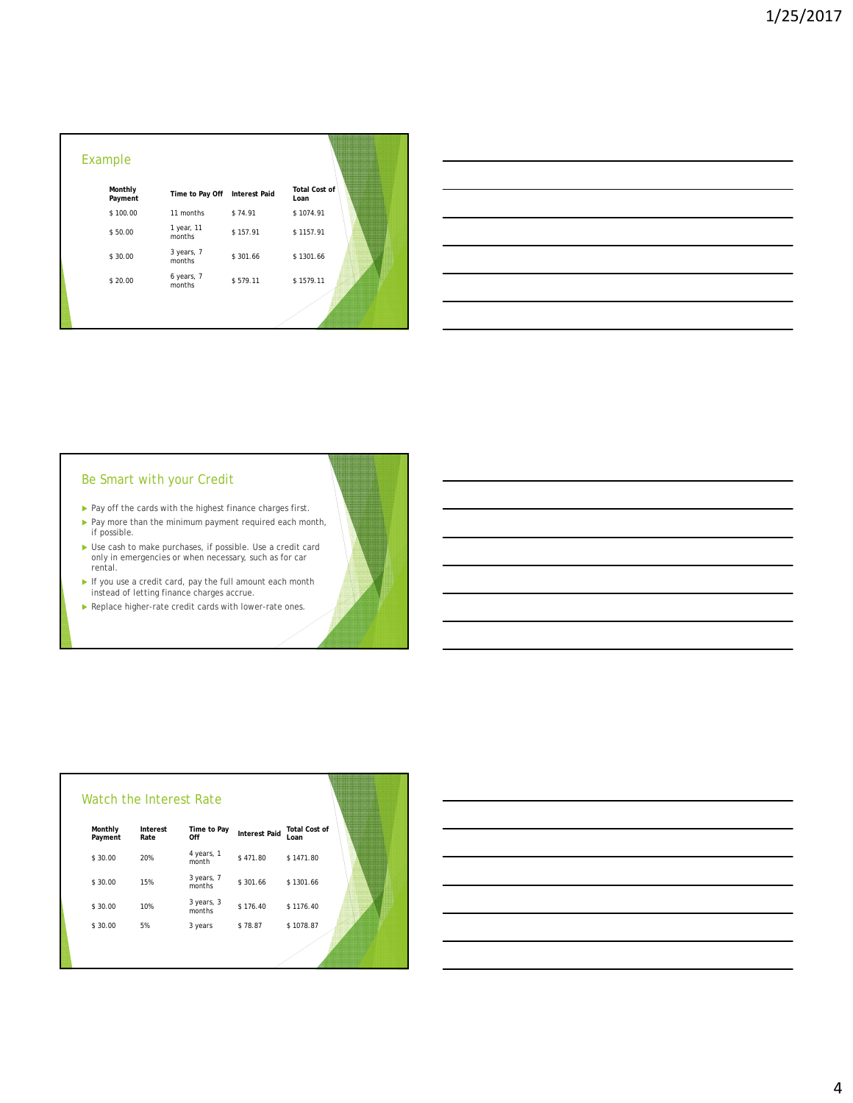| Time to Pay Off      | <b>Interest Paid</b> | <b>Total Cost of</b><br>Loan |
|----------------------|----------------------|------------------------------|
| 11 months            | \$74.91              | \$1074.91                    |
| 1 year, 11<br>months | \$157.91             | \$1157.91                    |
| 3 years, 7<br>months | \$301.66             | \$1301.66                    |
| 6 years, 7<br>months | \$579.11             | \$1579.11                    |
|                      |                      |                              |
|                      |                      |                              |

| Be Smart with your Credit |  |
|---------------------------|--|
|---------------------------|--|

- $\blacktriangleright$  Pay off the cards with the highest finance charges first.
- ▶ Pay more than the minimum payment required each month, if possible.
- Use cash to make purchases, if possible. Use a credit card only in emergencies or when necessary, such as for car rental.
- If you use a credit card, pay the full amount each month instead of letting finance charges accrue.
- Replace higher-rate credit cards with lower-rate ones.

| Watch the Interest Rate |                  |                      |                      |                              |
|-------------------------|------------------|----------------------|----------------------|------------------------------|
| Monthly<br>Payment      | Interest<br>Rate | Time to Pay<br>Off   | <b>Interest Paid</b> | <b>Total Cost of</b><br>Loan |
| \$30.00                 | 20%              | 4 years, 1<br>month  | \$471.80             | \$1471.80                    |
| \$30.00                 | 15%              | 3 years, 7<br>months | \$301.66             | \$1301.66                    |
| \$30.00                 | 10%              | 3 years, 3<br>months | \$176.40             | \$1176.40                    |
| \$30.00                 | 5%               | 3 years              | \$78.87              | \$1078.87                    |
|                         |                  |                      |                      |                              |

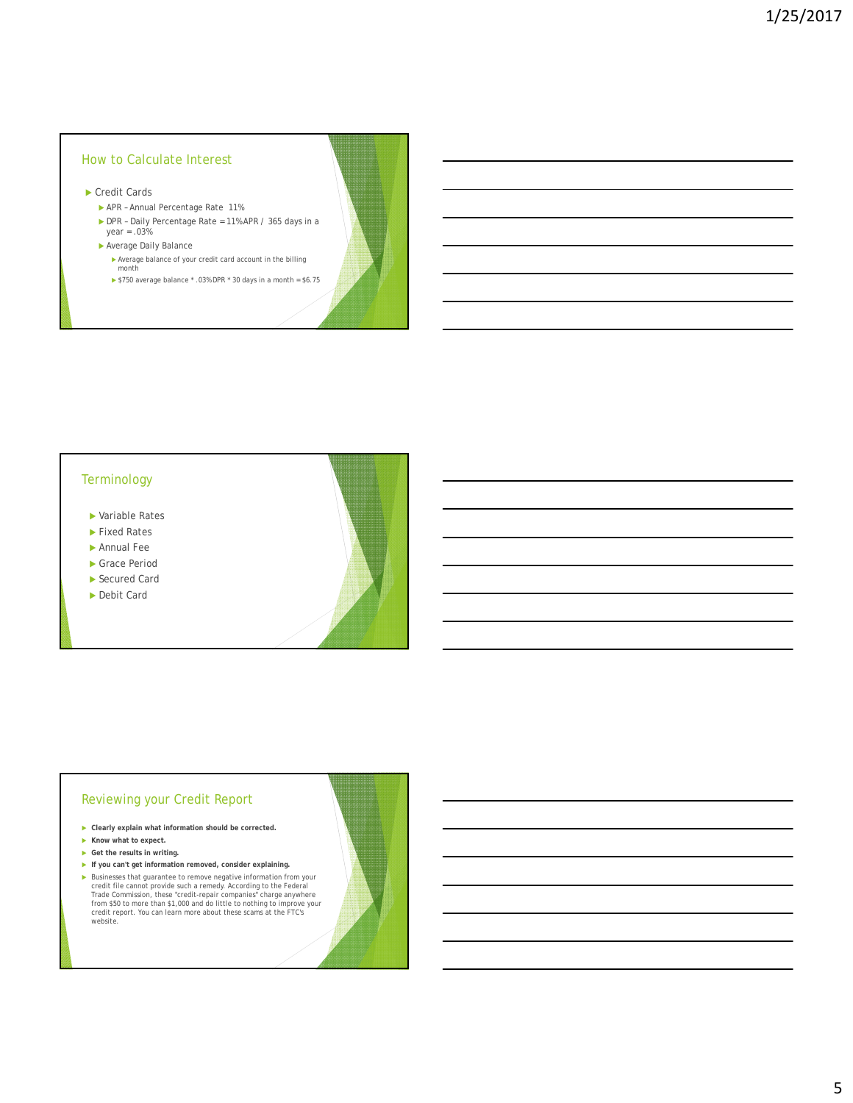### How to Calculate Interest

- ▶ Credit Cards
	- APR Annual Percentage Rate 11%
	- ▶ DPR Daily Percentage Rate = 11% APR / 365 days in a year = .03%
	- Average Daily Balance
		- Average balance of your credit card account in the billing month
		- \$750 average balance \* .03% DPR \* 30 days in a month = \$6.75

#### **Terminology**

- Variable Rates
- ▶ Fixed Rates
- Annual Fee
- Grace Period
- ▶ Secured Card
- ▶ Debit Card

#### Reviewing your Credit Report

- **Clearly explain what information should be corrected.**
- **Know what to expect.**
- **Get the results in writing.**
- **If you can't get information removed, consider explaining.** ▶ Businesses that guarantee to remove negative information from your credit file cannot provide usch a remedy. According to the Federal Trade Commission, these "credit-repair companies" charge anywhere from \$50 to more th website.